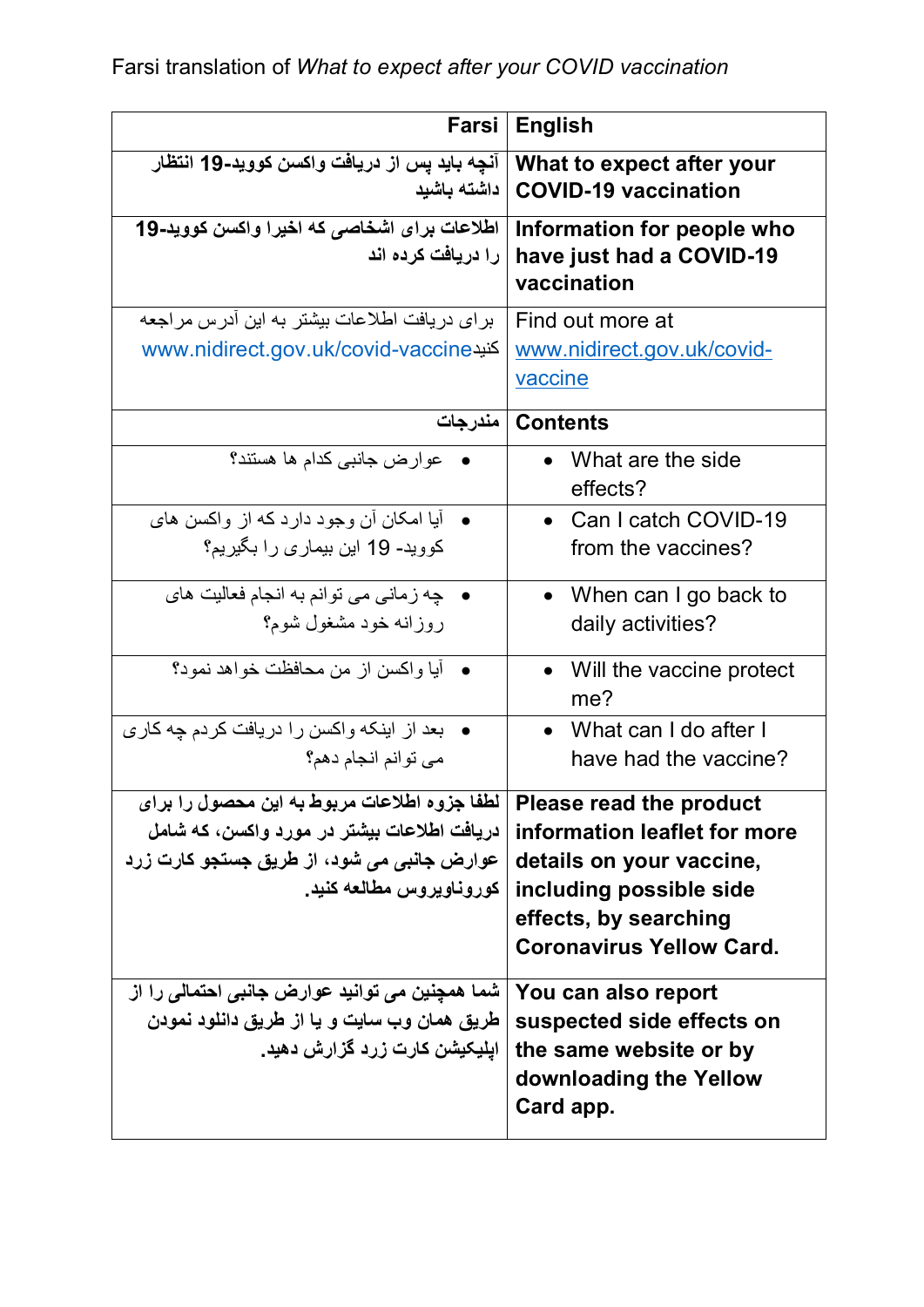Farsi translation of *What to expect after your COVID vaccination*

| Farsi                                                                                                                                                                                                 | <b>English</b>                                                                                                                                  |
|-------------------------------------------------------------------------------------------------------------------------------------------------------------------------------------------------------|-------------------------------------------------------------------------------------------------------------------------------------------------|
| آنچه بايد پس از دريافت واكسن كوويد-19 انتظار<br>داشته باشيد                                                                                                                                           | What to expect after your<br><b>COVID-19 vaccination</b>                                                                                        |
| اطلاعات برای اشخاصی که اخیرا واکسن کووید-19<br>را دریافت کرده اند                                                                                                                                     | Information for people who<br>have just had a COVID-19<br>vaccination                                                                           |
| برای دریافت اطلاعات بیشتر به این آدرس مراجعه<br>www.nidirect.gov.uk/covid-vaccine                                                                                                                     | Find out more at<br>www.nidirect.gov.uk/covid-<br>vaccine                                                                                       |
| مندرجات                                                                                                                                                                                               | <b>Contents</b>                                                                                                                                 |
| عوارض جانبي كدام ها هستند؟                                                                                                                                                                            | What are the side<br>effects?                                                                                                                   |
| •    آبا امکان أن وجود دارد که از واکسن های<br>کووید- 19 این بیماری را بگیریم؟                                                                                                                        | • Can I catch COVID-19<br>from the vaccines?                                                                                                    |
| • چه زماني مي توانم به انجام فعاليت هاي<br>روزانه خود مشغول شوم؟                                                                                                                                      | • When can I go back to<br>daily activities?                                                                                                    |
| •    آيا واكسن از من محافظت خواهد نمود؟                                                                                                                                                               | • Will the vaccine protect<br>me?                                                                                                               |
| بعد از اینکه واکسن را دریافت کردم چه کاری<br>می توانم انجام دهم؟                                                                                                                                      | • What can I do after I<br>have had the vaccine?                                                                                                |
| Please read the product   لطفا جزوه اطلاعات مربوط به این محصول را برای<br>ِ دريافت اطلاعات بيشتر در مورد واكسن، كه شامل<br>  عوارض جانبی می شود، از طریق جستجو کارت زرد<br>  كوروناويروس مطالعه كنيد. | information leaflet for more<br>details on your vaccine,<br>including possible side<br>effects, by searching<br><b>Coronavirus Yellow Card.</b> |
| شما همچنین می توانید عوارض جانبی احتمالی را از<br>طریق همان وب سایت و یا از طریق دانلود نمودن<br>ِ ایلیکیشن کارت زرد گزارش دهید.                                                                      | You can also report<br>suspected side effects on<br>the same website or by<br>downloading the Yellow<br>Card app.                               |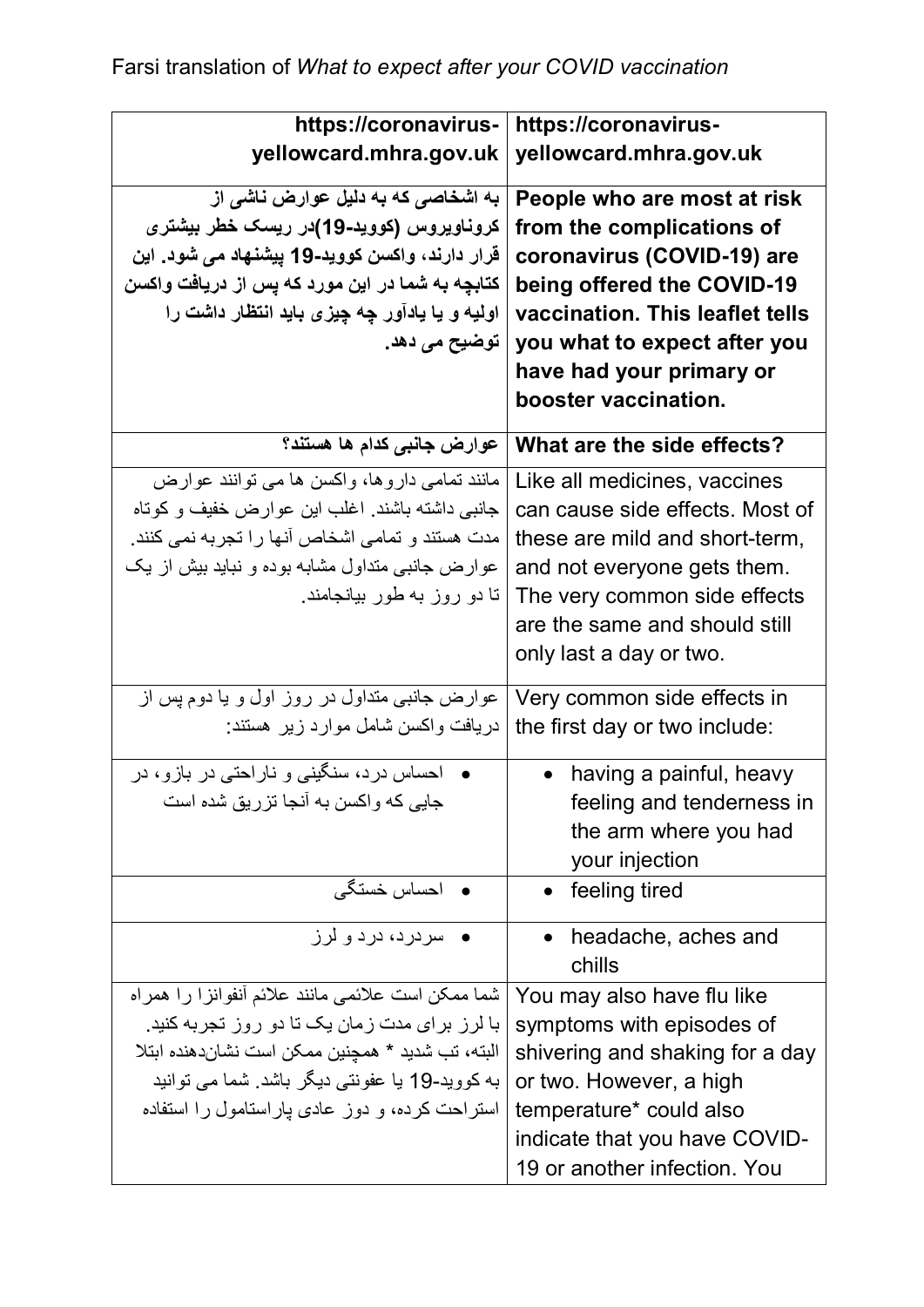| https://coronavirus-                              | https://coronavirus-            |
|---------------------------------------------------|---------------------------------|
| yellowcard.mhra.gov.uk                            | yellowcard.mhra.gov.uk          |
| به اشخاصی که به دلیل عوارض ناشی از                | People who are most at risk     |
| کروناویروس (کووید-19)در ریسک خطر بیشتر <i>ی</i>   | from the complications of       |
| قرار دارند، واکسن کووید-19 پیشنهاد می شود. این    | coronavirus (COVID-19) are      |
| کتابچه به شما در این مورد که پس از دریافت واکسن   | being offered the COVID-19      |
| اولیه و یا یادآور چه چیزی باید انتظار داشت را     | vaccination. This leaflet tells |
| ِ توضیح م <i>ی</i> دھد ِ                          | you what to expect after you    |
|                                                   | have had your primary or        |
|                                                   | booster vaccination.            |
| عوارض جانبي كدام ها هستند؟                        | What are the side effects?      |
| مانند تمامی داروها، واکسن ها می توانند عوارض      | Like all medicines, vaccines    |
| جانبی داشته باشند. اغلب این عوارض خفیف و کوتاه    | can cause side effects. Most of |
| مدت هستند و تمامی اشخاص آنها را تجربه نمی کنند.   | these are mild and short-term,  |
| عوارض جانبی متداول مشابه بوده و نباید بیش از یک   | and not everyone gets them.     |
| تا دو روز به طور بیانجامند.                       | The very common side effects    |
|                                                   | are the same and should still   |
|                                                   | only last a day or two.         |
| عوارض جانبی متداول در روز اول و یا دوم پس از      | Very common side effects in     |
| دریافت واکسن شامل موارد زیر هستند:                | the first day or two include:   |
|                                                   |                                 |
| احساس درد، سنگینی و ناراحتی در بازو، در           | having a painful, heavy         |
| جایی که واکسن به آنجا تزریق شده است               | feeling and tenderness in       |
|                                                   | the arm where you had           |
|                                                   | your injection                  |
| <b>•</b> احساس خستگی                              | • feeling tired                 |
| سر در د، در د و لر ز                              | headache, aches and             |
|                                                   | chills                          |
| شما ممكن است علائمي مانند علائم أنفوانزا را همراه | You may also have flu like      |
| با لرز برای مدت زمان یک تا دو روز تجربه کنید.     | symptoms with episodes of       |
| البته، تب شدید * همچنین ممکن است نشاندهنده ابتلا  | shivering and shaking for a day |
| به کووید-19 یا عفونتی دیگر باشد. شما می توانید    | or two. However, a high         |
| استراحت کرده، و دوز عادی پاراستامول را استفاده    | temperature* could also         |
|                                                   | indicate that you have COVID-   |
|                                                   | 19 or another infection. You    |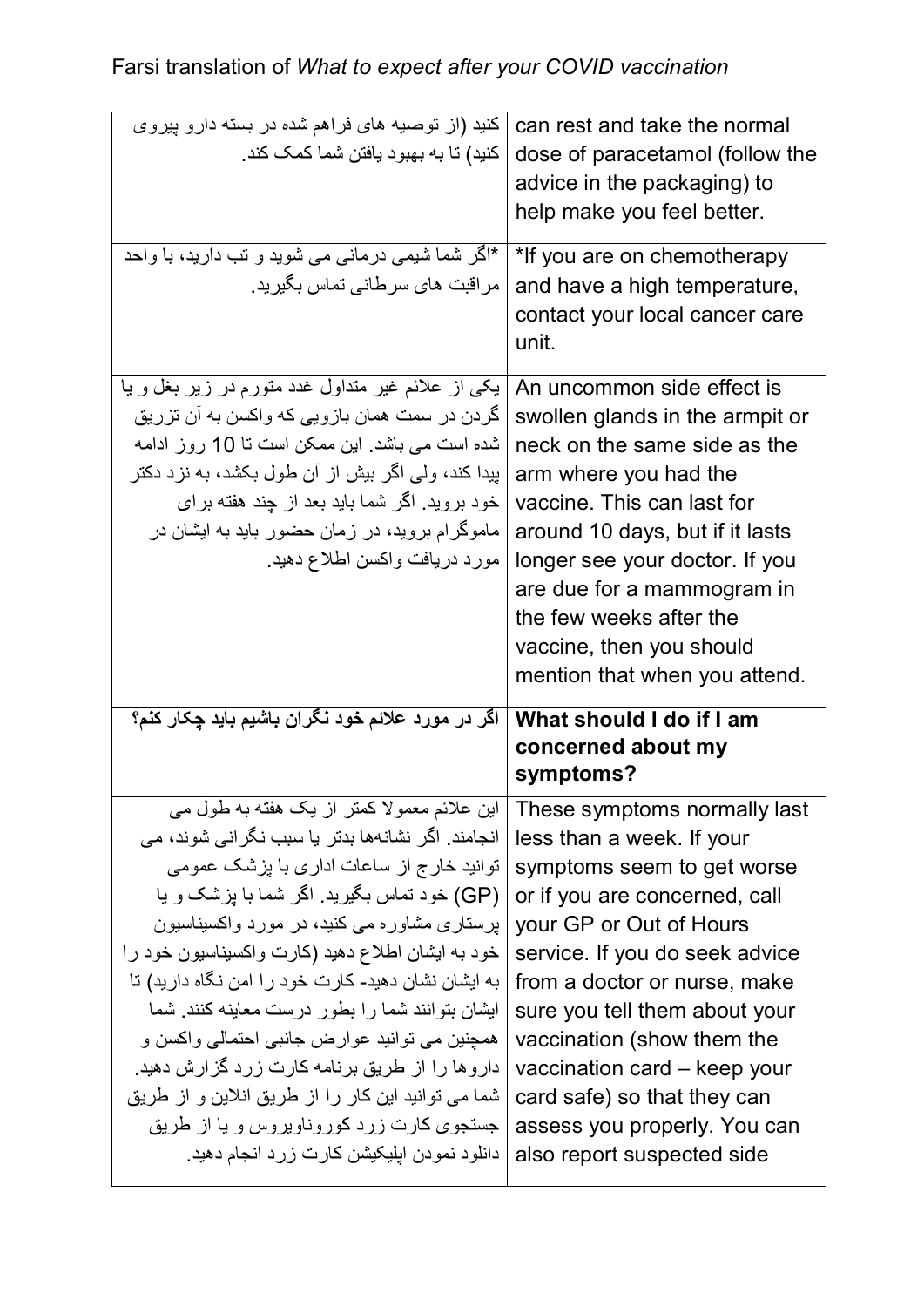| کنید (از توصیه های فراهم شده در بسته دارو پیروی<br>كنيد) تا به بهبود يافتن شما كمك كند.<br>*اگر شما شیمی درمانی می شوید و تب دارید، با واحد<br>مراقبت های سرطانی تماس بگیرید.                                                                                                                                                              | can rest and take the normal<br>dose of paracetamol (follow the<br>advice in the packaging) to<br>help make you feel better.<br>*If you are on chemotherapy<br>and have a high temperature,<br>contact your local cancer care<br>unit.                                                                                                          |
|--------------------------------------------------------------------------------------------------------------------------------------------------------------------------------------------------------------------------------------------------------------------------------------------------------------------------------------------|-------------------------------------------------------------------------------------------------------------------------------------------------------------------------------------------------------------------------------------------------------------------------------------------------------------------------------------------------|
| یکی از علائم غیر متداول غدد متورم در زیر بغل و یا<br>گردن در سمت همان بازویی که واکسن به آن تزریق<br>شده است می باشد. این ممکن است تا 10 روز ادامه<br>بِیدا کند، ولمی اگر بیش از أن طول بکشد، به نزد دکتر<br>خود بروید. اگر شما باید بعد از چند هفته برای<br>ماموگرام بروید، در زمان حضور باید به ایشان در<br>مورد دريافت واكسن اطلاع دهيد | An uncommon side effect is<br>swollen glands in the armpit or<br>neck on the same side as the<br>arm where you had the<br>vaccine. This can last for<br>around 10 days, but if it lasts<br>longer see your doctor. If you<br>are due for a mammogram in<br>the few weeks after the<br>vaccine, then you should<br>mention that when you attend. |
| اگر در مورد علائم خود نگران باشیم باید چکار کنم؟                                                                                                                                                                                                                                                                                           | What should I do if I am                                                                                                                                                                                                                                                                                                                        |
| این علائم معمولا کمتر از یک هفته به طول می                                                                                                                                                                                                                                                                                                 | concerned about my<br>symptoms?<br>These symptoms normally last                                                                                                                                                                                                                                                                                 |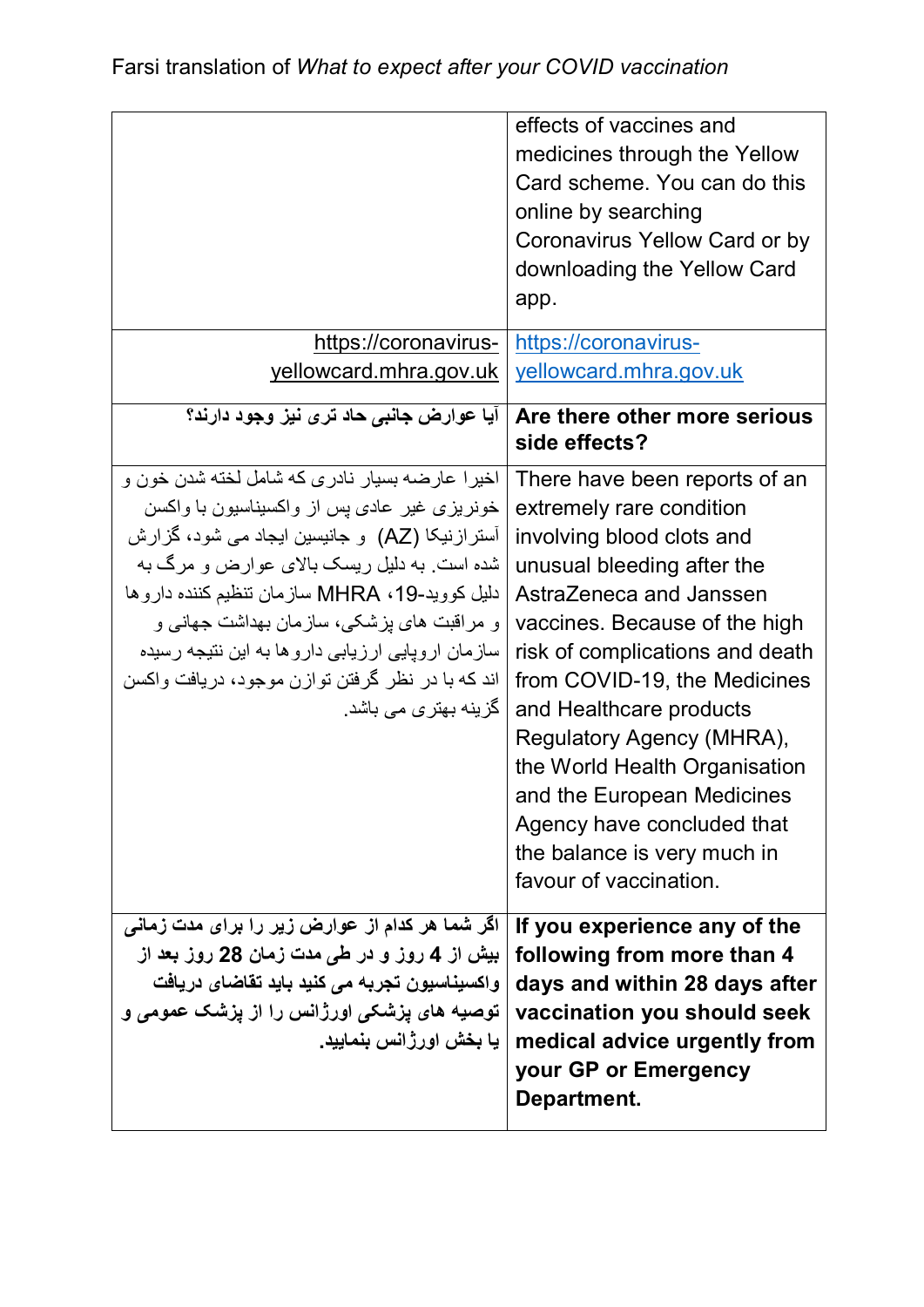|                                                                                                                                                                                                                                                                                                                                                                                                                              | effects of vaccines and<br>medicines through the Yellow<br>Card scheme. You can do this<br>online by searching<br>Coronavirus Yellow Card or by<br>downloading the Yellow Card<br>app.                                                                                                                                                                                                                                                                            |
|------------------------------------------------------------------------------------------------------------------------------------------------------------------------------------------------------------------------------------------------------------------------------------------------------------------------------------------------------------------------------------------------------------------------------|-------------------------------------------------------------------------------------------------------------------------------------------------------------------------------------------------------------------------------------------------------------------------------------------------------------------------------------------------------------------------------------------------------------------------------------------------------------------|
| https://coronavirus-<br>yellowcard.mhra.gov.uk                                                                                                                                                                                                                                                                                                                                                                               | https://coronavirus-<br>yellowcard.mhra.gov.uk                                                                                                                                                                                                                                                                                                                                                                                                                    |
| ایا عوارض جانبی حاد تری نیز وجود دارند؟                                                                                                                                                                                                                                                                                                                                                                                      | Are there other more serious<br>side effects?                                                                                                                                                                                                                                                                                                                                                                                                                     |
| اخيرا عارضه بسيار نادري كه شامل لخته شدن خون و<br>خونریزی غیر عادی پس از واکسیناسیون با واکسن<br>آسترازنیکا (AZ) و جانیسین ایجاد می شود، گزارش<br>شده است. به دلیل ریسک بالای عوارض و مرگ به<br>دليل كوويد-MHRA ، 19 سازمان تنظيم كننده داروها<br>و مراقبت های پزشکی، سازمان بهداشت جهانی و<br>سازمان اروپایی ارزیابی داروها به این نتیجه رسیده<br>اند که با در نظر گرفتن توازن موجود، دریافت واکسن<br>گزینه بهتر ی می باشد. | There have been reports of an<br>extremely rare condition<br>involving blood clots and<br>unusual bleeding after the<br>AstraZeneca and Janssen<br>vaccines. Because of the high<br>risk of complications and death<br>from COVID-19, the Medicines<br>and Healthcare products<br>Regulatory Agency (MHRA),<br>the World Health Organisation<br>and the European Medicines<br>Agency have concluded that<br>the balance is very much in<br>favour of vaccination. |
| اگر شما هر کدام از عوارض زیر را برای مدت زمانی<br>بیش از 4 روز و در ط <i>ی</i> مدت زما <i>ن</i> 28 روز بعد از<br>واکسیناسیون تجربه می کنید باید تقاضای دریافت<br>توصیه های پزشکی اورژانس را از پزشک عمومی و<br>ـيا بخش اورژانس بنماييد.                                                                                                                                                                                      | If you experience any of the<br>following from more than 4<br>days and within 28 days after<br>vaccination you should seek<br>medical advice urgently from<br>your GP or Emergency<br>Department.                                                                                                                                                                                                                                                                 |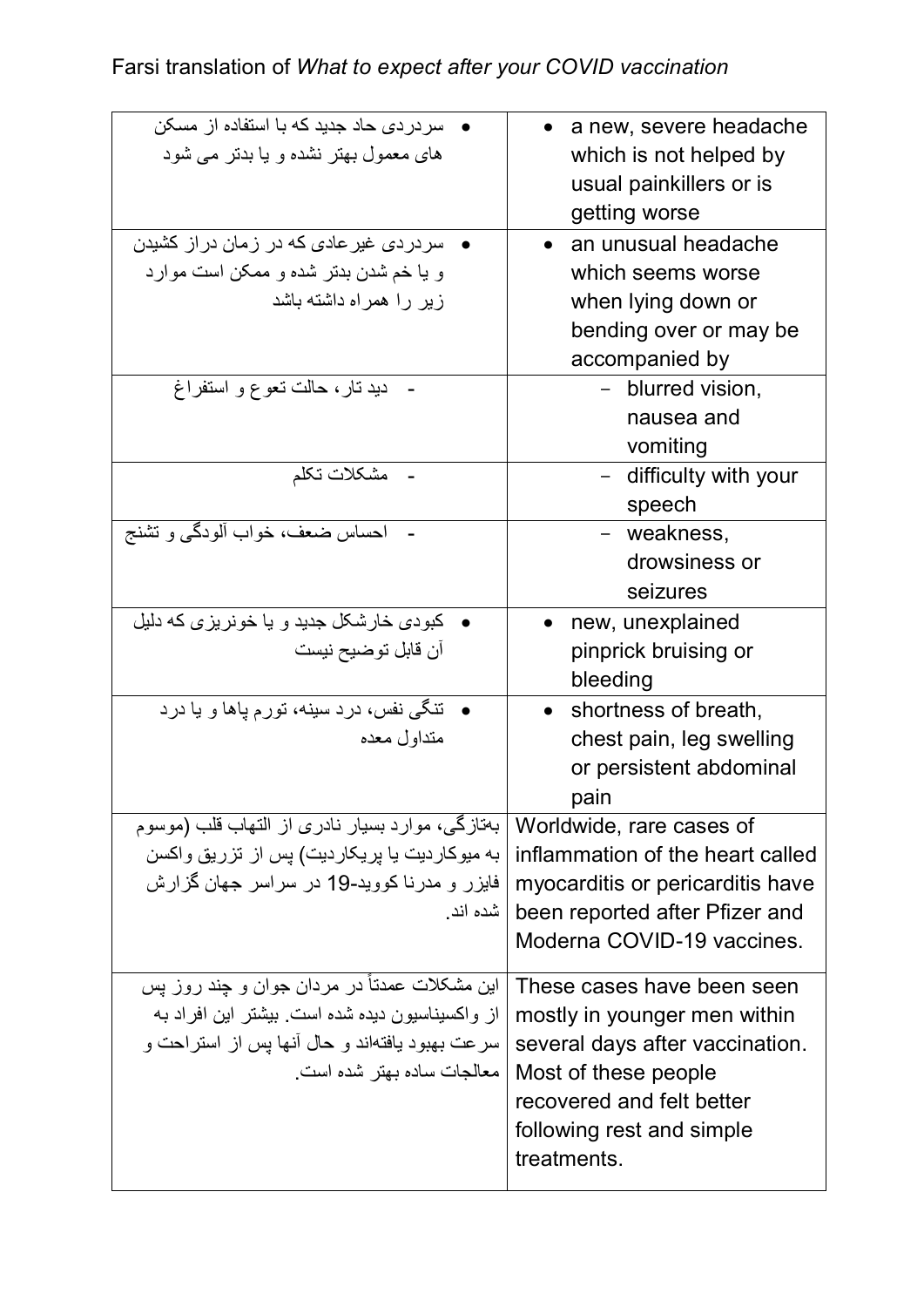## Farsi translation of *What to expect after your COVID vaccination*

| سر در دی حاد جدید که با استفاده از مسکن         | $\bullet$ anew, severe headache   |
|-------------------------------------------------|-----------------------------------|
| های معمول بهتر نشده و یا بدتر می شود            | which is not helped by            |
|                                                 | usual painkillers or is           |
|                                                 | getting worse                     |
| سردردی غیر عادی که در زمان دراز کشیدن           | • an unusual headache             |
| و یا خم شدن بدتر شده و ممکن است موارد           | which seems worse                 |
| زیر را همراه داشته باشد                         | when lying down or                |
|                                                 | bending over or may be            |
|                                                 | accompanied by                    |
| دید تار، حالت تعو ع و استفراغ                   | - blurred vision,                 |
|                                                 | nausea and                        |
|                                                 | vomiting                          |
| مشكلات تكلم                                     | - difficulty with your            |
|                                                 | speech                            |
| احساس ضعف، خواب ألودگمي و تشنج                  | - weakness,                       |
|                                                 | drowsiness or                     |
|                                                 | seizures                          |
| کبودی خارشکل جدید و یا خونریز ی که دلیل         | new, unexplained                  |
| آن قابل توضيح نيست                              | pinprick bruising or              |
|                                                 | bleeding                          |
| <b>•</b> تنگی نفس، درد سینه، تورم پاها و یا درد | shortness of breath,<br>$\bullet$ |
| متداول معده                                     | chest pain, leg swelling          |
|                                                 | or persistent abdominal           |
|                                                 | pain                              |
| بهتازگی، موارد بسیار نادری از التهاب قلب (موسوم | Worldwide, rare cases of          |
| به میوکاردیت یا پریکاردیت) پس از تزریق واکسن    | inflammation of the heart called  |
| فایزر و مدرنا کووید-19 در سراسر جهان گزارش      | myocarditis or pericarditis have  |
| ا شده اند.                                      | been reported after Pfizer and    |
|                                                 | Moderna COVID-19 vaccines.        |
| این مشکلات عمدتاً در مردان جوان و چند روز پس    | These cases have been seen        |
| از واکسپناسیون دیده شده است. بیشتر این افراد به | mostly in younger men within      |
| سرعت بهبود يافتهاند و حال أنها پس از استراحت و  | several days after vaccination.   |
| معالجات ساده بهتر شده است.                      | Most of these people              |
|                                                 | recovered and felt better         |
|                                                 | following rest and simple         |
|                                                 | treatments.                       |
|                                                 |                                   |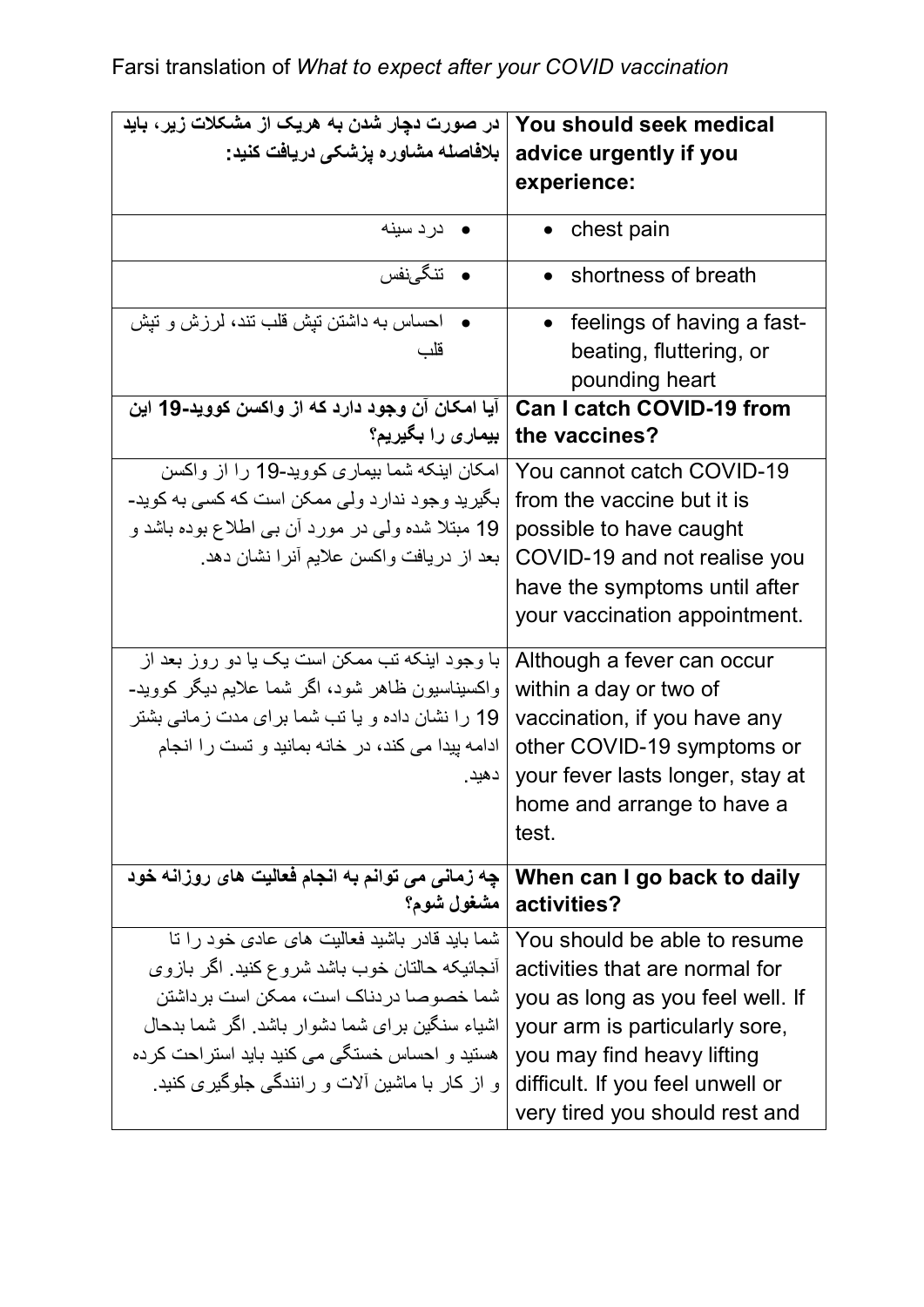| در صورت دچار شدن به هریک از مشکلات زیر، باید      | You should seek medical          |
|---------------------------------------------------|----------------------------------|
| بلافاصله مشاوره يزشكي دريافت كنيد:                | advice urgently if you           |
|                                                   | experience:                      |
|                                                   |                                  |
| درد سينه                                          | chest pain                       |
| • تنگىنفس                                         | shortness of breath              |
| احساس به داشتن تیش قلب تند، لرزش و تیش            | • feelings of having a fast-     |
| قلب                                               |                                  |
|                                                   | beating, fluttering, or          |
|                                                   | pounding heart                   |
| آیا امکان آن وجود دارد که از واکسن کووید-19 این   | <b>Can I catch COVID-19 from</b> |
| بیماری را بگیریم؟                                 | the vaccines?                    |
| امکان اینکه شما بیماری کووید-19 را از واکسن       | You cannot catch COVID-19        |
| بگیرید وجود ندارد ولی ممکن است که کسی به کوید-    | from the vaccine but it is       |
| 19 مبتلا شده ولمي در مورد أن بي اطلاع بوده باشد و | possible to have caught          |
| بعد از دریافت واکسن علایم أنرا نشان دهد.          | COVID-19 and not realise you     |
|                                                   | have the symptoms until after    |
|                                                   | your vaccination appointment.    |
|                                                   |                                  |
| با وجود اینکه تب ممکن است یک یا دو روز بعد از     | Although a fever can occur       |
| واکسیناسیون ظاهر شود، اگر شما علایم دیگر کووید-   | within a day or two of           |
| 19 را نشان داده و یا تب شما برای مدت زمانی بشتر   | vaccination, if you have any     |
| ادامه پیدا می کند، در خانه بمانید و تست را انجام  | other COVID-19 symptoms or       |
| دهيد.                                             | your fever lasts longer, stay at |
|                                                   | home and arrange to have a       |
|                                                   | test.                            |
| چه زمانی می توانم به انجام فعالیت های روزانه خود  | When can I go back to daily      |
|                                                   | ?activities   مشغول شوم؟         |
| شما باید قادر باشید فعالیت های عادی خود را تا     | You should be able to resume     |
| أنجائيكه حالتان خوب باشد شروع كنيد. اگر بازوي     | activities that are normal for   |
| شما خصو صا در دناک است، ممکن است بر داشتن         | you as long as you feel well. If |
| اشیاء سنگین بر ای شما دشوار باشد. اگر شما بدحال   | your arm is particularly sore,   |
| هستید و احساس خستگی می کنید باید استراحت کرده     | you may find heavy lifting       |
| و از کار با ماشین آلات و رانندگی جلوگیری کنید.    | difficult. If you feel unwell or |
|                                                   | very tired you should rest and   |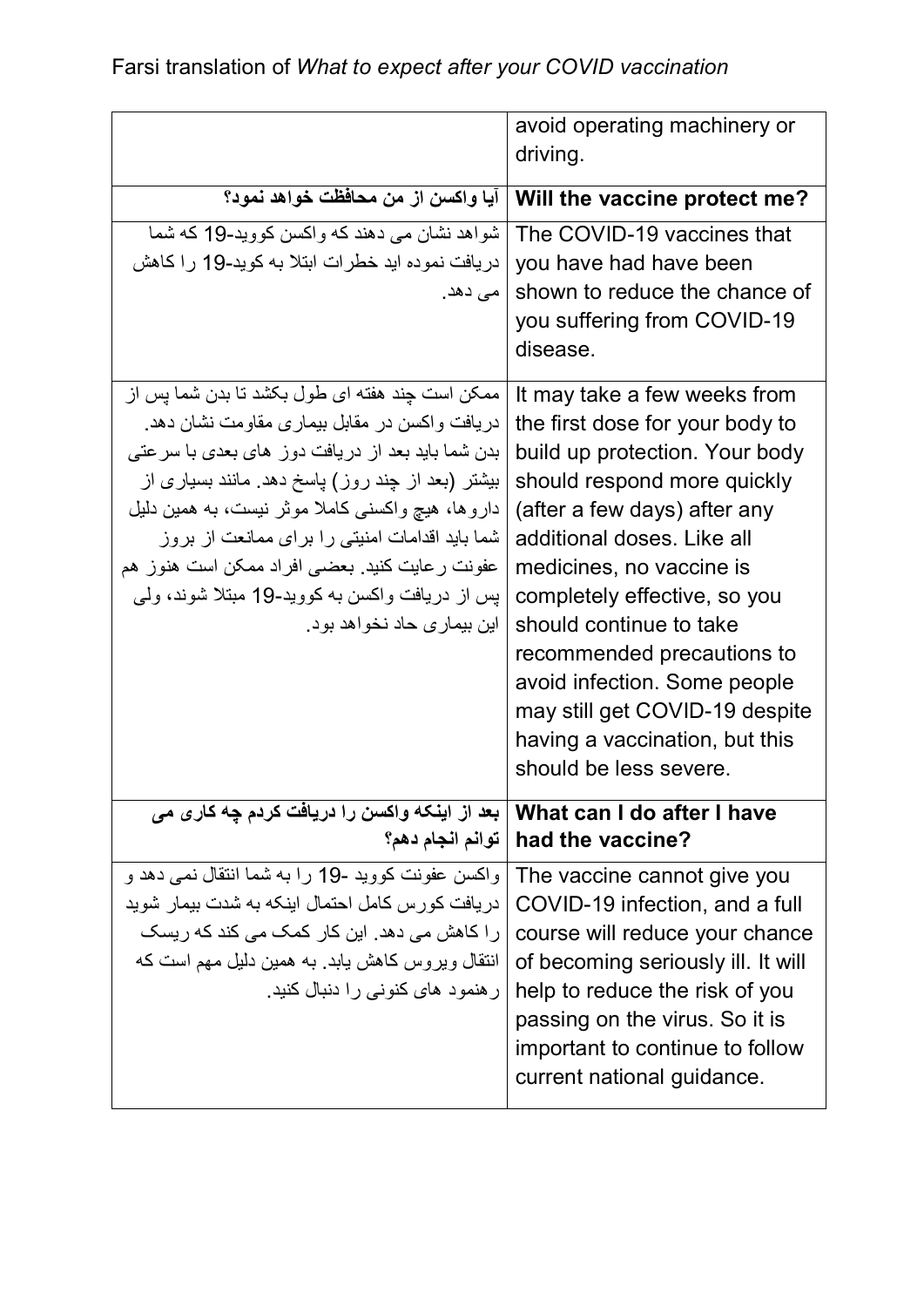|                                                  | avoid operating machinery or         |
|--------------------------------------------------|--------------------------------------|
|                                                  | driving.                             |
| آيا و اكسن از من محافظت خو اهد نمود؟             | Will the vaccine protect me?         |
|                                                  |                                      |
| شواهد نشان می دهند که و اکسن کو وید-19 که شما    | The COVID-19 vaccines that           |
| دریافت نموده اید خطرات ابتلا به کوید-19 را کاهش  | you have had have been               |
| ا مي دهد.                                        | shown to reduce the chance of        |
|                                                  | you suffering from COVID-19          |
|                                                  | disease.                             |
| ممکن است چند هفته ای طول بکشد تا بدن شما پس از   | It may take a few weeks from         |
| دریافت واکسن در مقابل بیماری مقاومت نشان دهد.    | the first dose for your body to      |
| بدن شما باید بعد از دریافت دوز های بعدی با سرعتی | build up protection. Your body       |
| بیشتر (بعد از چند روز) پاسخ دهد. مانند بسیاری از | should respond more quickly          |
| داروها، هیچ واکسنی کاملا موثر نیست، به همین دلیل | (after a few days) after any         |
| شما باید اقدامات امنیتی را برای ممانعت از بروز   | additional doses. Like all           |
| عفونت رعايت كنيد. بعضبي افراد ممكن است هنوز هم   | medicines, no vaccine is             |
| پس از دریافت واکسن به کووید-19 مبتلا شوند، ولمی  | completely effective, so you         |
| اين بيمار ي حاد نخو اهد بو د.                    | should continue to take              |
|                                                  | recommended precautions to           |
|                                                  | avoid infection. Some people         |
|                                                  | may still get COVID-19 despite       |
|                                                  | having a vaccination, but this       |
|                                                  | should be less severe.               |
| بعد از اینکه واکسن را دریافت کردم چه کار ی می    | What can I do after I have           |
|                                                  | ? had the vaccine   توانم انجام دهم؟ |
| واكسن عفونت كوويد -19 را به شما انتقال نمي دهد و | The vaccine cannot give you          |
| دریافت کورس کامل احتمال اینکه به شدت بیمار شوید  | COVID-19 infection, and a full       |
| ر ا کاهش می دهد. این کار کمک می کند که ریسک      | course will reduce your chance       |
| انتقال ویروس کاهش بابد. به همین دلیل مهم است که  | of becoming seriously ill. It will   |
| ر هنمود های کنونی را دنبال کنید.                 | help to reduce the risk of you       |
|                                                  | passing on the virus. So it is       |
|                                                  | important to continue to follow      |
|                                                  | current national guidance.           |
|                                                  |                                      |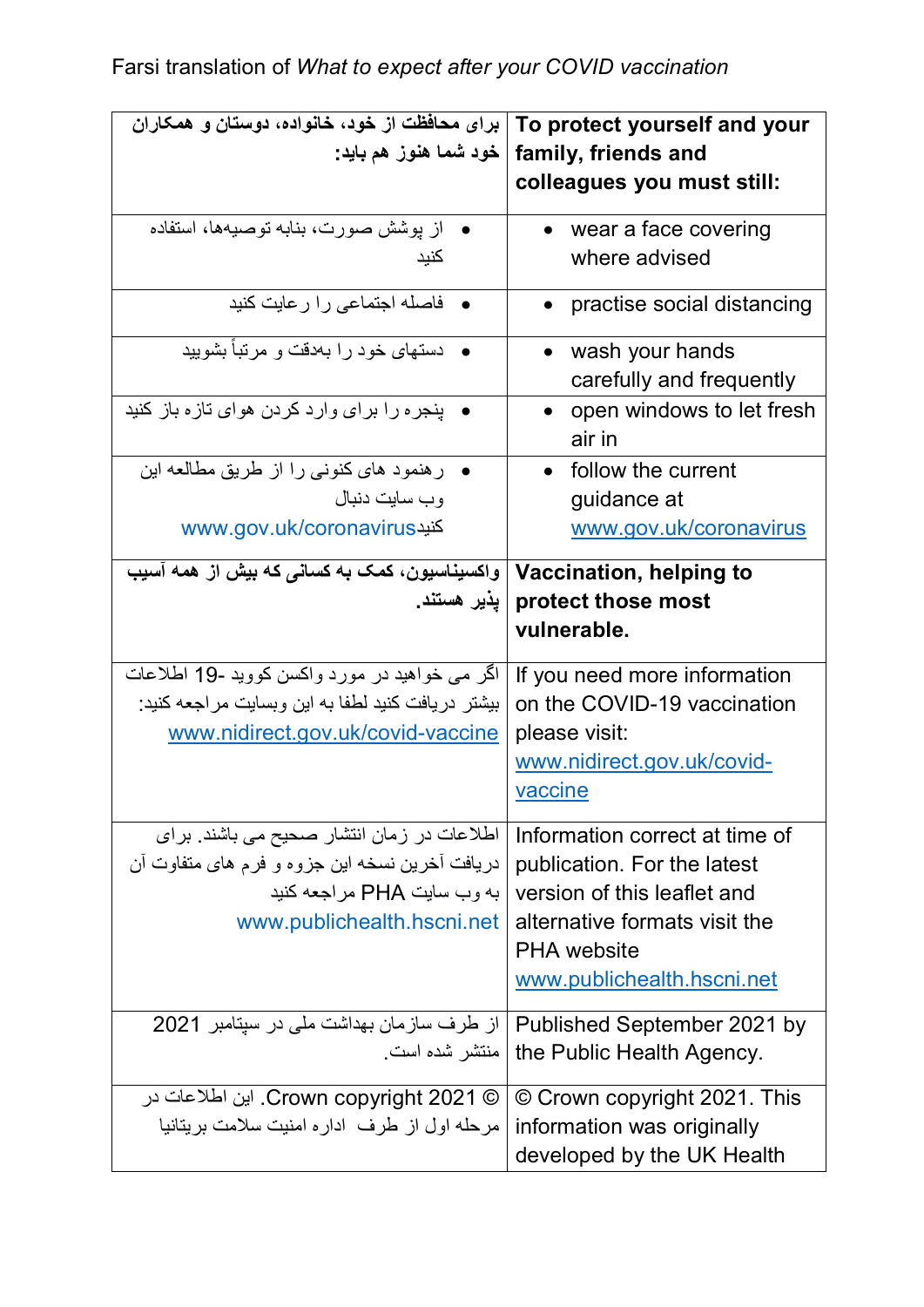| برای محافظت از خود، خانواده، دوستان و همکاران      | To protect yourself and your              |
|----------------------------------------------------|-------------------------------------------|
| خود شما هنوز هم بايد:                              | family, friends and                       |
|                                                    | colleagues you must still:                |
| از پوشش صورت، بنابه توصیهها، استفاده               | wear a face covering                      |
| كنبد                                               | where advised                             |
| • فاصله اجتماعی را ر عایت کنید                     | practise social distancing                |
| دستهای خود را بهدفت و مرتبأ بشویید                 | wash your hands                           |
|                                                    | carefully and frequently                  |
| ● ینجره را برای وارد کردن هوای تازه باز کنید       | open windows to let fresh                 |
|                                                    | air in                                    |
| ر هنمود های کنونی را از طریق مطالعه این            | • follow the current                      |
| وب سايت دنبال                                      | guidance at                               |
| www.gov.uk/coronavirus                             | www.gov.uk/coronavirus                    |
| واکسیناسیون، کمک به کسانی که بیش از همه آسیب       | Vaccination, helping to                   |
| پذیر هستند.                                        | protect those most                        |
|                                                    | vulnerable.                               |
| اگر می خواهید در مورد واکسن کووید -19 اطلاعات      | If you need more information              |
| بیشتر  دریافت کنید لطفا به این وبسایت مراجعه کنید: | on the COVID-19 vaccination               |
| www.nidirect.gov.uk/covid-vaccine                  | please visit:                             |
|                                                    | www.nidirect.gov.uk/covid-                |
|                                                    | vaccine                                   |
| اطلاعات در زمان انتشار صحیح می باشند. برای         | Information correct at time of            |
| دریافت آخرین نسخه این جزوه و فرم های متفاوت آن     | publication. For the latest               |
| به و ب سابت PHA مر اجعه كنبد                       | version of this leaflet and               |
| www.publichealth.hscni.net                         | alternative formats visit the             |
|                                                    | <b>PHA</b> website                        |
|                                                    | www.publichealth.hscni.net                |
| از طرف سازمان بهداشت ملی در سیتامبر 2021           | Published September 2021 by               |
|                                                    | .the Public Health Agency   منتشر شده است |
| © Crown copyright 2021. این اطلاعات در             | © Crown copyright 2021. This              |
| مرحله اول از طرف اداره امنیت سلامت بریتانیا        | information was originally                |
|                                                    | developed by the UK Health                |